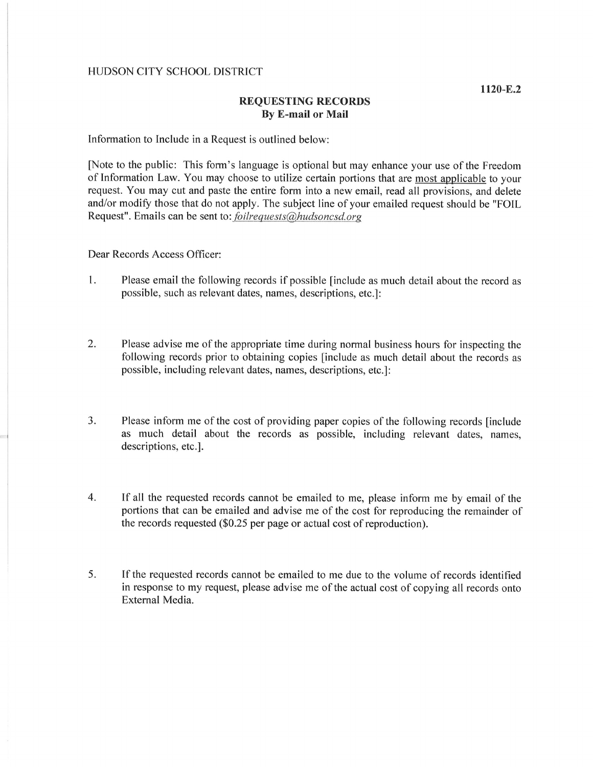## HUDSON CITY SCHOOL DISTRICT

## REQUESTING RECORDS By E-mail or Mail

Information to Include in a Request is outlined below:

fNote to the public: This form's language is optional but may enhance your use of the Freedom of lnformation Law. You may choose to utilize certain portions that are most applicable to your request. You may cut and paste the entire form into a new email, read all provisions, and delete and/or modify those that do not apply. The subject line of your emailed request should be "FOIL Request". Emails can be sent to: *foilrequests@hudsoncsd.org* 

Dear Records Access Officer:

- Please email the following records if possible [include as much detail about the record as possible, such as relevant dates, names, descriptions, etc.]: I
- Please advise me of the appropriate time during normal business hours for inspecting the following records prior to obtaining copies [include as much detail about the records as possible, including relevant dates, names, descriptions, etc.]: 2.
- Please inform me of the cost of providing paper copies of the following records [include as much detail about the records as possible, including relevant dates, names, descriptions, etc.]. a J
- If all the requested records cannot be emailed to me, please inform me by email of the portions that can be emailed and advise me of the cost for reproducing the remainder of the records requested  $(\$0.25$  per page or actual cost of reproduction). 4
- If the requested records cannot be emailed to me due to the volume of records identified in response to my request, please advise me of the actual cost of copying all records onto External Media. 5